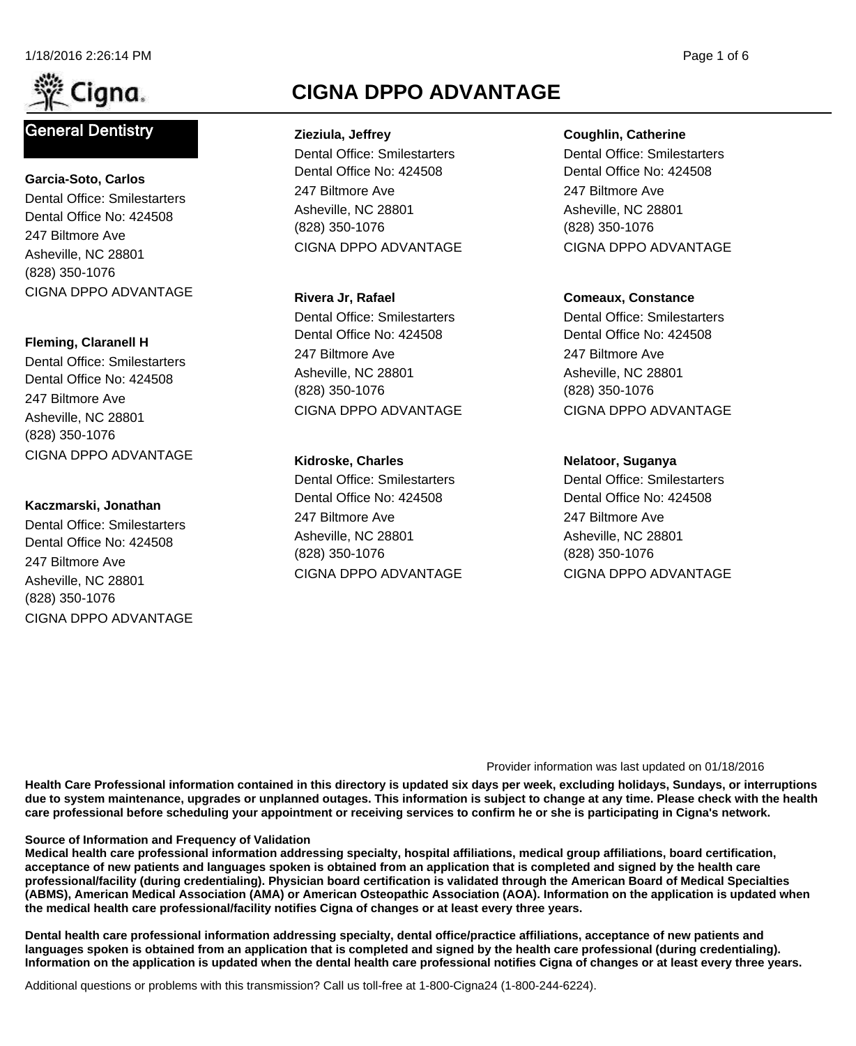

# **General Dentistry**

(828) 350-1076 Asheville, NC 28801 247 Biltmore Ave Dental Office No: 424508 Dental Office: Smilestarters **Garcia-Soto, Carlos** CIGNA DPPO ADVANTAGE

#### **Fleming, Claranell H**

(828) 350-1076 Asheville, NC 28801 247 Biltmore Ave Dental Office No: 424508 Dental Office: Smilestarters CIGNA DPPO ADVANTAGE

#### **Kaczmarski, Jonathan**

(828) 350-1076 Asheville, NC 28801 247 Biltmore Ave Dental Office No: 424508 Dental Office: Smilestarters CIGNA DPPO ADVANTAGE

# **CIGNA DPPO ADVANTAGE**

(828) 350-1076 Asheville, NC 28801 247 Biltmore Ave Dental Office No: 424508 Dental Office: Smilestarters **Zieziula, Jeffrey** CIGNA DPPO ADVANTAGE

(828) 350-1076 Asheville, NC 28801 247 Biltmore Ave Dental Office No: 424508 Dental Office: Smilestarters **Rivera Jr, Rafael** CIGNA DPPO ADVANTAGE

#### **Kidroske, Charles**

(828) 350-1076 Asheville, NC 28801 247 Biltmore Ave Dental Office No: 424508 Dental Office: Smilestarters CIGNA DPPO ADVANTAGE

#### **Coughlin, Catherine**

(828) 350-1076 Asheville, NC 28801 247 Biltmore Ave Dental Office No: 424508 Dental Office: Smilestarters CIGNA DPPO ADVANTAGE

### **Comeaux, Constance**

(828) 350-1076 Asheville, NC 28801 247 Biltmore Ave Dental Office No: 424508 Dental Office: Smilestarters CIGNA DPPO ADVANTAGE

#### **Nelatoor, Suganya**

(828) 350-1076 Asheville, NC 28801 247 Biltmore Ave Dental Office No: 424508 Dental Office: Smilestarters CIGNA DPPO ADVANTAGE

#### Provider information was last updated on 01/18/2016

**Health Care Professional information contained in this directory is updated six days per week, excluding holidays, Sundays, or interruptions due to system maintenance, upgrades or unplanned outages. This information is subject to change at any time. Please check with the health care professional before scheduling your appointment or receiving services to confirm he or she is participating in Cigna's network.**

#### **Source of Information and Frequency of Validation**

**Medical health care professional information addressing specialty, hospital affiliations, medical group affiliations, board certification, acceptance of new patients and languages spoken is obtained from an application that is completed and signed by the health care professional/facility (during credentialing). Physician board certification is validated through the American Board of Medical Specialties (ABMS), American Medical Association (AMA) or American Osteopathic Association (AOA). Information on the application is updated when the medical health care professional/facility notifies Cigna of changes or at least every three years.**

**Dental health care professional information addressing specialty, dental office/practice affiliations, acceptance of new patients and languages spoken is obtained from an application that is completed and signed by the health care professional (during credentialing). Information on the application is updated when the dental health care professional notifies Cigna of changes or at least every three years.**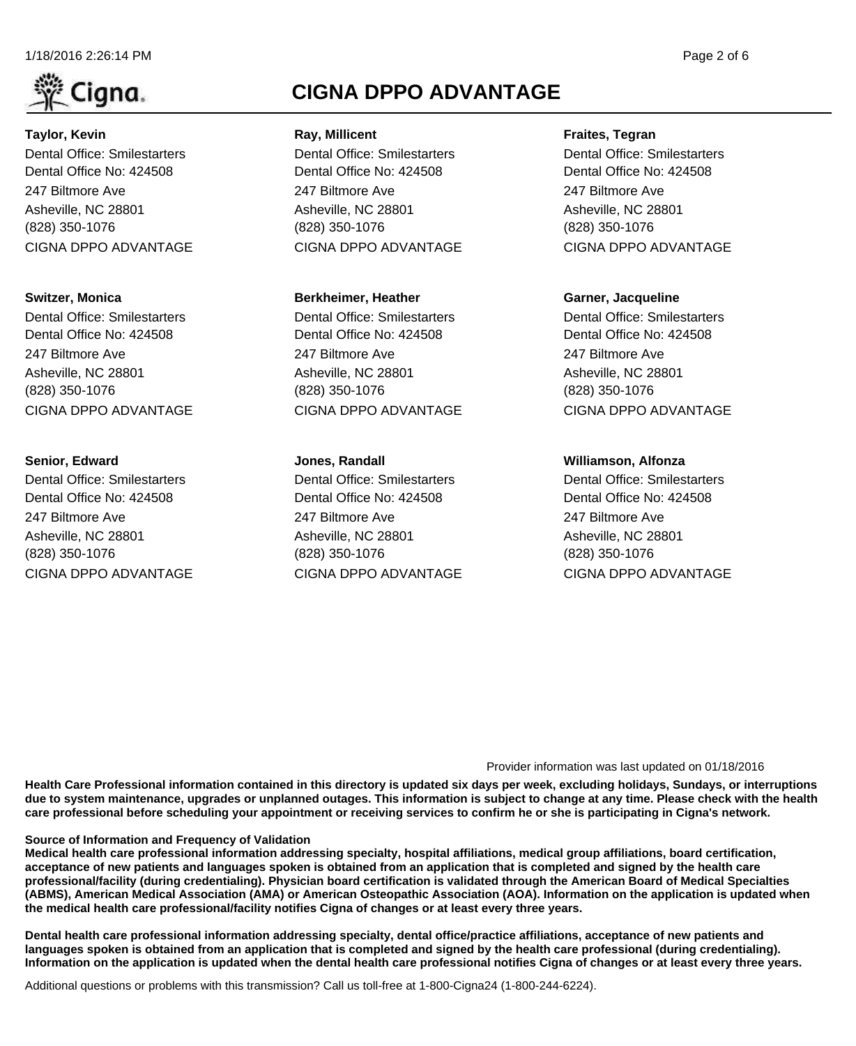#### 1/18/2016 2:26:14 PM Page 2 of 6



# (828) 350-1076 Asheville, NC 28801 247 Biltmore Ave Dental Office No: 424508 Dental Office: Smilestarters **Taylor, Kevin** CIGNA DPPO ADVANTAGE

### **Switzer, Monica**

(828) 350-1076 Asheville, NC 28801 247 Biltmore Ave Dental Office No: 424508 Dental Office: Smilestarters CIGNA DPPO ADVANTAGE

# **Senior, Edward**

(828) 350-1076 Asheville, NC 28801 247 Biltmore Ave Dental Office No: 424508 Dental Office: Smilestarters CIGNA DPPO ADVANTAGE

# **CIGNA DPPO ADVANTAGE**

(828) 350-1076 Asheville, NC 28801 247 Biltmore Ave Dental Office No: 424508 Dental Office: Smilestarters **Ray, Millicent** CIGNA DPPO ADVANTAGE

### **Berkheimer, Heather**

(828) 350-1076 Asheville, NC 28801 247 Biltmore Ave Dental Office No: 424508 Dental Office: Smilestarters CIGNA DPPO ADVANTAGE

### **Jones, Randall**

(828) 350-1076 Asheville, NC 28801 247 Biltmore Ave Dental Office No: 424508 Dental Office: Smilestarters CIGNA DPPO ADVANTAGE

#### **Fraites, Tegran**

(828) 350-1076 Asheville, NC 28801 247 Biltmore Ave Dental Office No: 424508 Dental Office: Smilestarters CIGNA DPPO ADVANTAGE

### **Garner, Jacqueline**

(828) 350-1076 Asheville, NC 28801 247 Biltmore Ave Dental Office No: 424508 Dental Office: Smilestarters CIGNA DPPO ADVANTAGE

### **Williamson, Alfonza**

(828) 350-1076 Asheville, NC 28801 247 Biltmore Ave Dental Office No: 424508 Dental Office: Smilestarters CIGNA DPPO ADVANTAGE

#### Provider information was last updated on 01/18/2016

**Health Care Professional information contained in this directory is updated six days per week, excluding holidays, Sundays, or interruptions due to system maintenance, upgrades or unplanned outages. This information is subject to change at any time. Please check with the health care professional before scheduling your appointment or receiving services to confirm he or she is participating in Cigna's network.**

#### **Source of Information and Frequency of Validation**

**Medical health care professional information addressing specialty, hospital affiliations, medical group affiliations, board certification, acceptance of new patients and languages spoken is obtained from an application that is completed and signed by the health care professional/facility (during credentialing). Physician board certification is validated through the American Board of Medical Specialties (ABMS), American Medical Association (AMA) or American Osteopathic Association (AOA). Information on the application is updated when the medical health care professional/facility notifies Cigna of changes or at least every three years.**

**Dental health care professional information addressing specialty, dental office/practice affiliations, acceptance of new patients and languages spoken is obtained from an application that is completed and signed by the health care professional (during credentialing). Information on the application is updated when the dental health care professional notifies Cigna of changes or at least every three years.**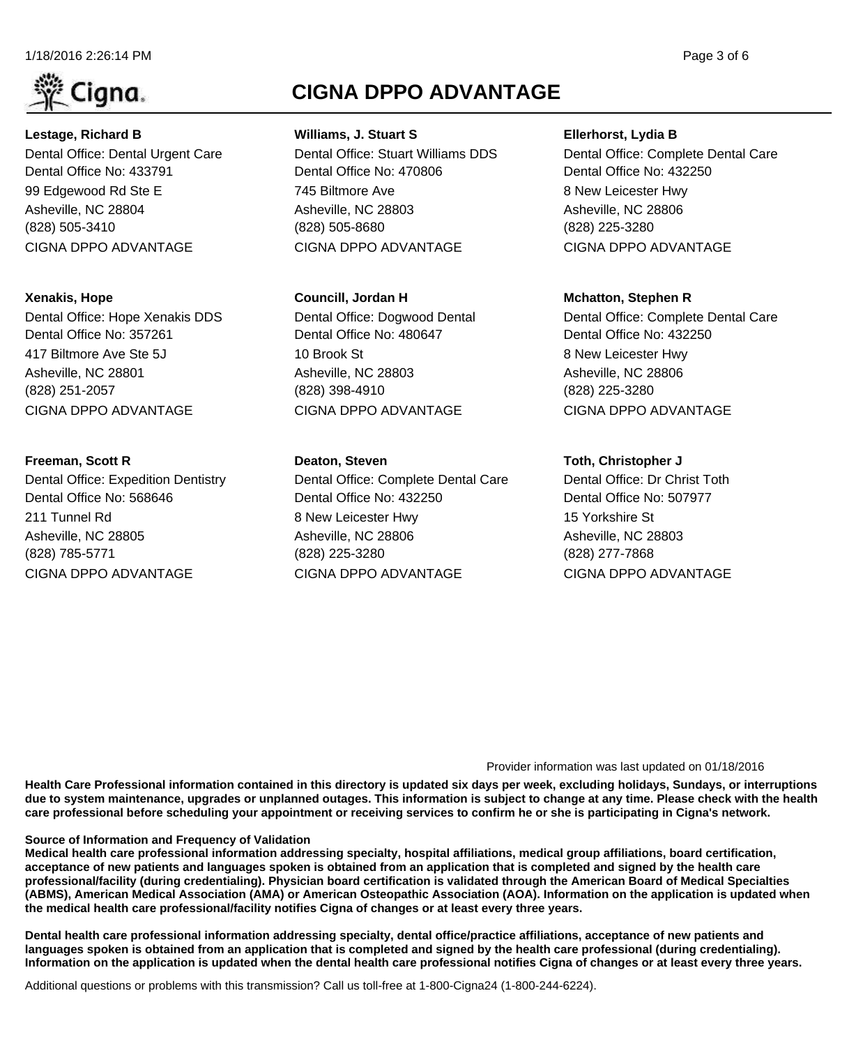#### 1/18/2016 2:26:14 PM Page 3 of 6



(828) 505-3410 Asheville, NC 28804 99 Edgewood Rd Ste E Dental Office No: 433791 Dental Office: Dental Urgent Care **Lestage, Richard B** CIGNA DPPO ADVANTAGE

### **Xenakis, Hope**

(828) 251-2057 Asheville, NC 28801 417 Biltmore Ave Ste 5J Dental Office No: 357261 Dental Office: Hope Xenakis DDS CIGNA DPPO ADVANTAGE

### **Freeman, Scott R**

(828) 785-5771 Asheville, NC 28805 211 Tunnel Rd Dental Office No: 568646 Dental Office: Expedition Dentistry CIGNA DPPO ADVANTAGE

# **CIGNA DPPO ADVANTAGE**

(828) 505-8680 Asheville, NC 28803 745 Biltmore Ave Dental Office No: 470806 Dental Office: Stuart Williams DDS **Williams, J. Stuart S** CIGNA DPPO ADVANTAGE

### **Councill, Jordan H**

(828) 398-4910 Asheville, NC 28803 10 Brook St Dental Office No: 480647 Dental Office: Dogwood Dental CIGNA DPPO ADVANTAGE

### **Deaton, Steven**

(828) 225-3280 Asheville, NC 28806 8 New Leicester Hwy Dental Office No: 432250 Dental Office: Complete Dental Care CIGNA DPPO ADVANTAGE

#### **Ellerhorst, Lydia B**

(828) 225-3280 Asheville, NC 28806 8 New Leicester Hwy Dental Office No: 432250 Dental Office: Complete Dental Care CIGNA DPPO ADVANTAGE

### **Mchatton, Stephen R**

(828) 225-3280 Asheville, NC 28806 8 New Leicester Hwy Dental Office No: 432250 Dental Office: Complete Dental Care CIGNA DPPO ADVANTAGE

### **Toth, Christopher J**

(828) 277-7868 Asheville, NC 28803 15 Yorkshire St Dental Office No: 507977 Dental Office: Dr Christ Toth CIGNA DPPO ADVANTAGE

#### Provider information was last updated on 01/18/2016

**Health Care Professional information contained in this directory is updated six days per week, excluding holidays, Sundays, or interruptions due to system maintenance, upgrades or unplanned outages. This information is subject to change at any time. Please check with the health care professional before scheduling your appointment or receiving services to confirm he or she is participating in Cigna's network.**

#### **Source of Information and Frequency of Validation**

**Medical health care professional information addressing specialty, hospital affiliations, medical group affiliations, board certification, acceptance of new patients and languages spoken is obtained from an application that is completed and signed by the health care professional/facility (during credentialing). Physician board certification is validated through the American Board of Medical Specialties (ABMS), American Medical Association (AMA) or American Osteopathic Association (AOA). Information on the application is updated when the medical health care professional/facility notifies Cigna of changes or at least every three years.**

**Dental health care professional information addressing specialty, dental office/practice affiliations, acceptance of new patients and languages spoken is obtained from an application that is completed and signed by the health care professional (during credentialing). Information on the application is updated when the dental health care professional notifies Cigna of changes or at least every three years.**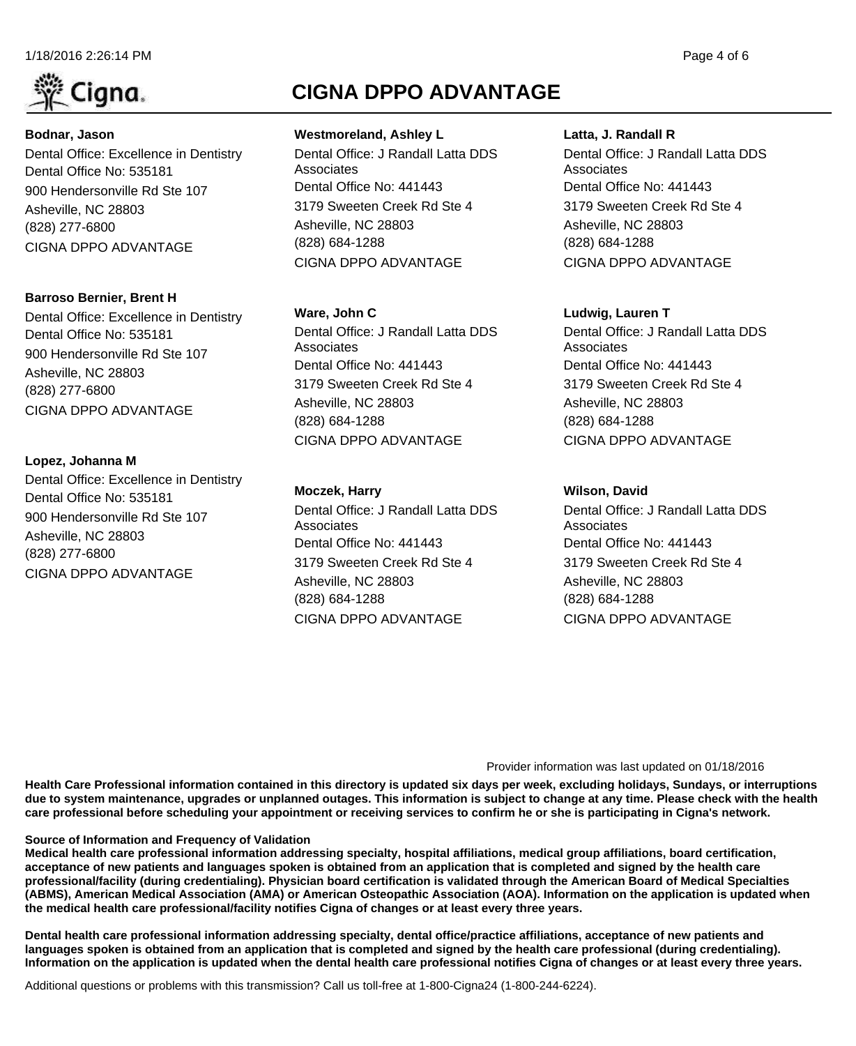

# (828) 277-6800 Asheville, NC 28803 900 Hendersonville Rd Ste 107 Dental Office No: 535181 Dental Office: Excellence in Dentistry **Bodnar, Jason** CIGNA DPPO ADVANTAGE

# (828) 277-6800 Asheville, NC 28803 900 Hendersonville Rd Ste 107 Dental Office No: 535181 Dental Office: Excellence in Dentistry **Barroso Bernier, Brent H**

CIGNA DPPO ADVANTAGE

# **Lopez, Johanna M**

(828) 277-6800 Asheville, NC 28803 900 Hendersonville Rd Ste 107 Dental Office No: 535181 Dental Office: Excellence in Dentistry CIGNA DPPO ADVANTAGE

# **CIGNA DPPO ADVANTAGE**

(828) 684-1288 Asheville, NC 28803 3179 Sweeten Creek Rd Ste 4 Dental Office No: 441443 Dental Office: J Randall Latta DDS **Associates Westmoreland, Ashley L** CIGNA DPPO ADVANTAGE

#### **Ware, John C**

(828) 684-1288 Asheville, NC 28803 3179 Sweeten Creek Rd Ste 4 Dental Office No: 441443 Dental Office: J Randall Latta DDS **Associates** CIGNA DPPO ADVANTAGE

#### **Moczek, Harry**

(828) 684-1288 Asheville, NC 28803 3179 Sweeten Creek Rd Ste 4 Dental Office No: 441443 Dental Office: J Randall Latta DDS Associates CIGNA DPPO ADVANTAGE

**Latta, J. Randall R**

(828) 684-1288 Asheville, NC 28803 3179 Sweeten Creek Rd Ste 4 Dental Office No: 441443 Dental Office: J Randall Latta DDS **Associates** CIGNA DPPO ADVANTAGE

#### **Ludwig, Lauren T**

(828) 684-1288 Asheville, NC 28803 3179 Sweeten Creek Rd Ste 4 Dental Office No: 441443 Dental Office: J Randall Latta DDS **Associates** CIGNA DPPO ADVANTAGE

#### **Wilson, David**

(828) 684-1288 Asheville, NC 28803 3179 Sweeten Creek Rd Ste 4 Dental Office No: 441443 Dental Office: J Randall Latta DDS **Associates** CIGNA DPPO ADVANTAGE

#### Provider information was last updated on 01/18/2016

**Health Care Professional information contained in this directory is updated six days per week, excluding holidays, Sundays, or interruptions due to system maintenance, upgrades or unplanned outages. This information is subject to change at any time. Please check with the health care professional before scheduling your appointment or receiving services to confirm he or she is participating in Cigna's network.**

#### **Source of Information and Frequency of Validation**

**Medical health care professional information addressing specialty, hospital affiliations, medical group affiliations, board certification, acceptance of new patients and languages spoken is obtained from an application that is completed and signed by the health care professional/facility (during credentialing). Physician board certification is validated through the American Board of Medical Specialties (ABMS), American Medical Association (AMA) or American Osteopathic Association (AOA). Information on the application is updated when the medical health care professional/facility notifies Cigna of changes or at least every three years.**

**Dental health care professional information addressing specialty, dental office/practice affiliations, acceptance of new patients and languages spoken is obtained from an application that is completed and signed by the health care professional (during credentialing). Information on the application is updated when the dental health care professional notifies Cigna of changes or at least every three years.**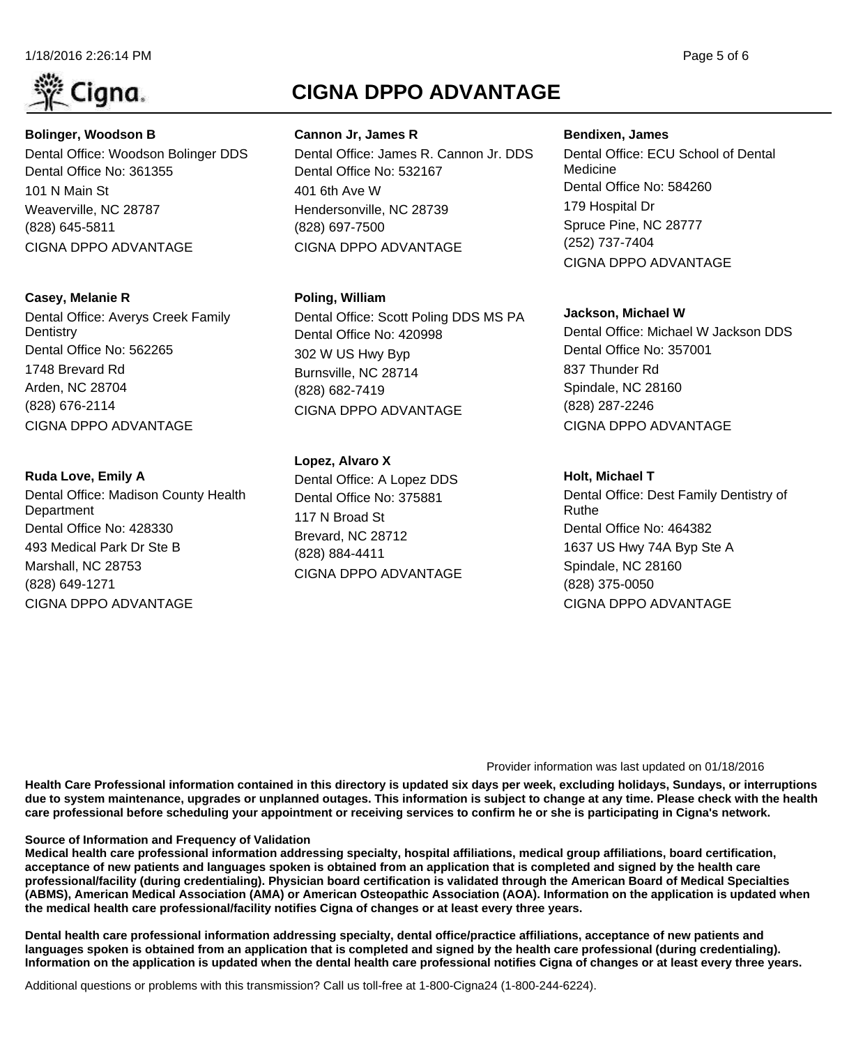

# (828) 645-5811 Weaverville, NC 28787 101 N Main St Dental Office No: 361355 Dental Office: Woodson Bolinger DDS **Bolinger, Woodson B** CIGNA DPPO ADVANTAGE

# **Casey, Melanie R**

(828) 676-2114 Arden, NC 28704 1748 Brevard Rd Dental Office No: 562265 Dental Office: Averys Creek Family **Dentistry** CIGNA DPPO ADVANTAGE

# **Ruda Love, Emily A**

(828) 649-1271 Marshall, NC 28753 493 Medical Park Dr Ste B Dental Office No: 428330 Dental Office: Madison County Health **Department** CIGNA DPPO ADVANTAGE

# **CIGNA DPPO ADVANTAGE**

(828) 697-7500 Hendersonville, NC 28739 401 6th Ave W Dental Office No: 532167 Dental Office: James R. Cannon Jr. DDS **Cannon Jr, James R** CIGNA DPPO ADVANTAGE

# **Poling, William**

(828) 682-7419 Burnsville, NC 28714 302 W US Hwy Byp Dental Office No: 420998 Dental Office: Scott Poling DDS MS PA CIGNA DPPO ADVANTAGE

# **Lopez, Alvaro X**

(828) 884-4411 Brevard, NC 28712 117 N Broad St Dental Office No: 375881 Dental Office: A Lopez DDS CIGNA DPPO ADVANTAGE

#### **Bendixen, James**

(252) 737-7404 Spruce Pine, NC 28777 179 Hospital Dr Dental Office No: 584260 Dental Office: ECU School of Dental Medicine CIGNA DPPO ADVANTAGE

### **Jackson, Michael W**

(828) 287-2246 Spindale, NC 28160 837 Thunder Rd Dental Office No: 357001 Dental Office: Michael W Jackson DDS CIGNA DPPO ADVANTAGE

# **Holt, Michael T**

(828) 375-0050 Spindale, NC 28160 1637 US Hwy 74A Byp Ste A Dental Office No: 464382 Dental Office: Dest Family Dentistry of Ruthe CIGNA DPPO ADVANTAGE

#### Provider information was last updated on 01/18/2016

**Health Care Professional information contained in this directory is updated six days per week, excluding holidays, Sundays, or interruptions due to system maintenance, upgrades or unplanned outages. This information is subject to change at any time. Please check with the health care professional before scheduling your appointment or receiving services to confirm he or she is participating in Cigna's network.**

#### **Source of Information and Frequency of Validation**

**Medical health care professional information addressing specialty, hospital affiliations, medical group affiliations, board certification, acceptance of new patients and languages spoken is obtained from an application that is completed and signed by the health care professional/facility (during credentialing). Physician board certification is validated through the American Board of Medical Specialties (ABMS), American Medical Association (AMA) or American Osteopathic Association (AOA). Information on the application is updated when the medical health care professional/facility notifies Cigna of changes or at least every three years.**

**Dental health care professional information addressing specialty, dental office/practice affiliations, acceptance of new patients and languages spoken is obtained from an application that is completed and signed by the health care professional (during credentialing). Information on the application is updated when the dental health care professional notifies Cigna of changes or at least every three years.**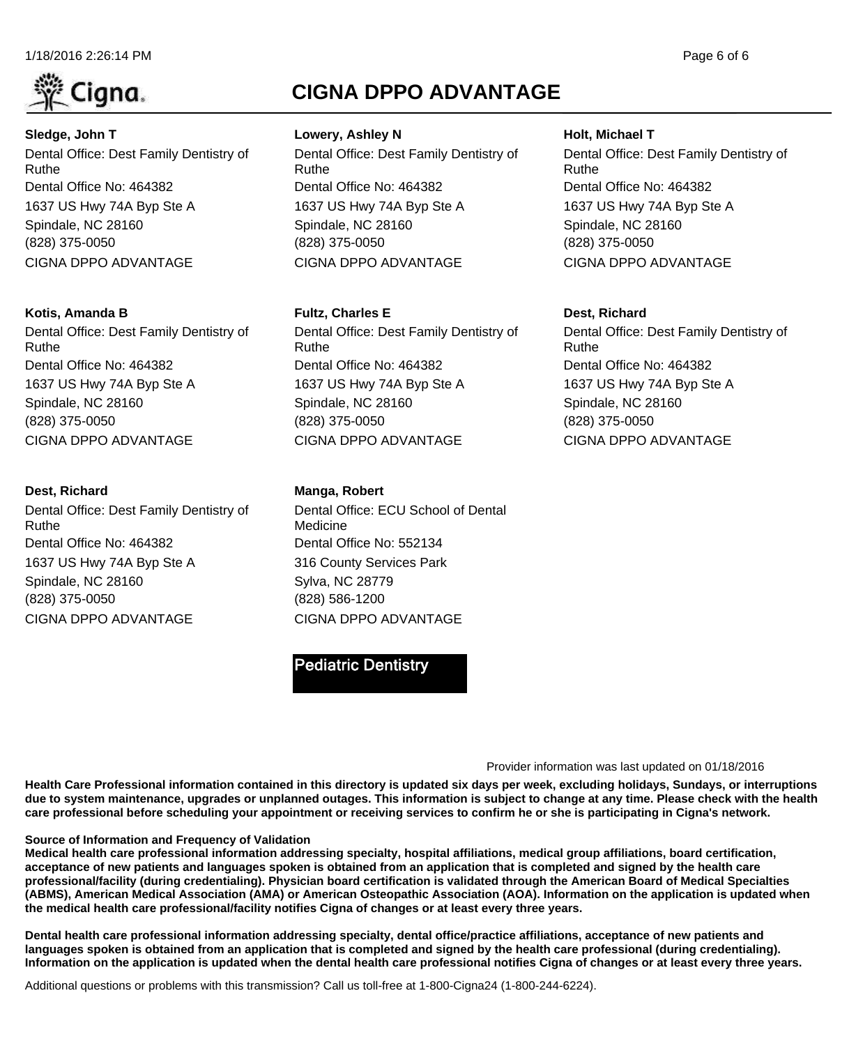



(828) 375-0050 Spindale, NC 28160 1637 US Hwy 74A Byp Ste A Dental Office No: 464382 Dental Office: Dest Family Dentistry of Ruthe **Sledge, John T** CIGNA DPPO ADVANTAGE

#### **Kotis, Amanda B**

(828) 375-0050 Spindale, NC 28160 1637 US Hwy 74A Byp Ste A Dental Office No: 464382 Dental Office: Dest Family Dentistry of Ruthe CIGNA DPPO ADVANTAGE

#### **Dest, Richard**

(828) 375-0050 Spindale, NC 28160 1637 US Hwy 74A Byp Ste A Dental Office No: 464382 Dental Office: Dest Family Dentistry of Ruthe CIGNA DPPO ADVANTAGE

# **CIGNA DPPO ADVANTAGE**

(828) 375-0050 Spindale, NC 28160 1637 US Hwy 74A Byp Ste A Dental Office No: 464382 Dental Office: Dest Family Dentistry of Ruthe **Lowery, Ashley N** CIGNA DPPO ADVANTAGE

#### **Fultz, Charles E**

(828) 375-0050 Spindale, NC 28160 1637 US Hwy 74A Byp Ste A Dental Office No: 464382 Dental Office: Dest Family Dentistry of Ruthe CIGNA DPPO ADVANTAGE

#### **Manga, Robert**

(828) 586-1200 Sylva, NC 28779 316 County Services Park Dental Office No: 552134 Dental Office: ECU School of Dental Medicine CIGNA DPPO ADVANTAGE

# **Pediatric Dentistry**

#### **Holt, Michael T**

(828) 375-0050 Spindale, NC 28160 1637 US Hwy 74A Byp Ste A Dental Office No: 464382 Dental Office: Dest Family Dentistry of Ruthe CIGNA DPPO ADVANTAGE

#### **Dest, Richard**

(828) 375-0050 Spindale, NC 28160 1637 US Hwy 74A Byp Ste A Dental Office No: 464382 Dental Office: Dest Family Dentistry of Ruthe CIGNA DPPO ADVANTAGE

#### Provider information was last updated on 01/18/2016

**Health Care Professional information contained in this directory is updated six days per week, excluding holidays, Sundays, or interruptions due to system maintenance, upgrades or unplanned outages. This information is subject to change at any time. Please check with the health care professional before scheduling your appointment or receiving services to confirm he or she is participating in Cigna's network.**

#### **Source of Information and Frequency of Validation**

**Medical health care professional information addressing specialty, hospital affiliations, medical group affiliations, board certification, acceptance of new patients and languages spoken is obtained from an application that is completed and signed by the health care professional/facility (during credentialing). Physician board certification is validated through the American Board of Medical Specialties (ABMS), American Medical Association (AMA) or American Osteopathic Association (AOA). Information on the application is updated when the medical health care professional/facility notifies Cigna of changes or at least every three years.**

**Dental health care professional information addressing specialty, dental office/practice affiliations, acceptance of new patients and languages spoken is obtained from an application that is completed and signed by the health care professional (during credentialing). Information on the application is updated when the dental health care professional notifies Cigna of changes or at least every three years.**